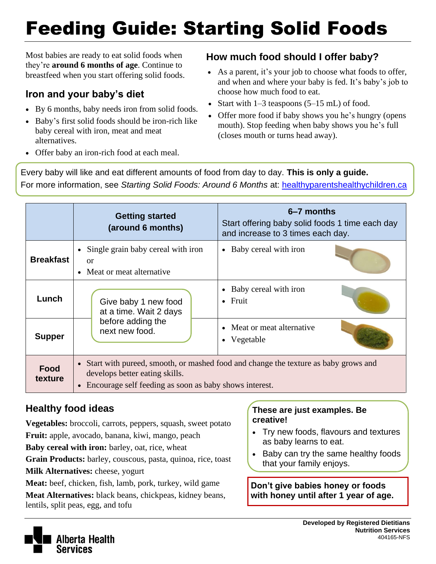# Feeding Guide: Starting Solid Foods

Most babies are ready to eat solid foods when they're **around 6 months of age**. Continue to breastfeed when you start offering solid foods.

### **Iron and your baby's diet**

- By 6 months, baby needs iron from solid foods.
- Baby's first solid foods should be iron-rich like baby cereal with iron, meat and meat alternatives.
- Offer baby an iron-rich food at each meal.

#### **How much food should I offer baby?**

- As a parent, it's your job to choose what foods to offer, and when and where your baby is fed. It's baby's job to choose how much food to eat.
- Start with  $1-3$  teaspoons  $(5-15 \text{ mL})$  of food.
- Offer more food if baby shows you he's hungry (opens mouth). Stop feeding when baby shows you he's full (closes mouth or turns head away).

Every baby will like and eat different amounts of food from day to day. **This is only a guide.** For more information, see *Starting Solid Foods: Around 6 Months* at: [healthyparentshealthychildren.ca](http://www.healthyparentshealthychildren.ca/)

|                  | <b>Getting started</b><br>(around 6 months)                                                                                                                                        | 6–7 months<br>Start offering baby solid foods 1 time each day<br>and increase to 3 times each day. |  |
|------------------|------------------------------------------------------------------------------------------------------------------------------------------------------------------------------------|----------------------------------------------------------------------------------------------------|--|
| <b>Breakfast</b> | Single grain baby cereal with iron<br>$\bullet$<br>or<br>• Meat or meat alternative                                                                                                | • Baby cereal with iron                                                                            |  |
| Lunch            | Give baby 1 new food<br>at a time. Wait 2 days                                                                                                                                     | • Baby cereal with iron<br>$\bullet$ Fruit                                                         |  |
| <b>Supper</b>    | before adding the<br>next new food.                                                                                                                                                | • Meat or meat alternative<br>Vegetable                                                            |  |
| Food<br>texture  | • Start with pureed, smooth, or mashed food and change the texture as baby grows and<br>develops better eating skills.<br>• Encourage self feeding as soon as baby shows interest. |                                                                                                    |  |

## **Healthy food ideas**

**Vegetables:** broccoli, carrots, peppers, squash, sweet potato

**Fruit:** apple, avocado, banana, kiwi, mango, peach

**Baby cereal with iron:** barley, oat, rice, wheat

**Grain Products:** barley, couscous, pasta, quinoa, rice, toast **Milk Alternatives: cheese, yogurt** 

**Meat:** beef, chicken, fish, lamb, pork, turkey, wild game **Meat Alternatives:** black beans, chickpeas, kidney beans, lentils, split peas, egg, and tofu

#### **These are just examples. Be creative!**

- Try new foods, flavours and textures as baby learns to eat.
- Baby can try the same healthy foods that your family enjoys.

**Don't give babies honey or foods with honey until after 1 year of age.**